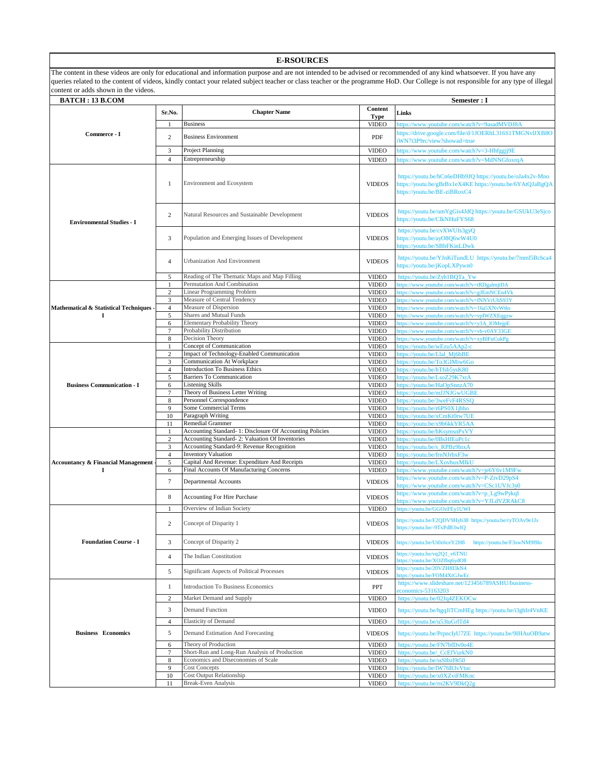| content or adds shown in the videos.          |                                | The content in these videos are only for educational and information purpose and are not intended to be advised or recommended of any kind whatsoever. If you have any<br>queries related to the content of videos, kindly contact your related subject teacher or class teacher or the programme HoD. Our College is not responsible for any type of illegal |                               |                                                                                                                                                        |
|-----------------------------------------------|--------------------------------|---------------------------------------------------------------------------------------------------------------------------------------------------------------------------------------------------------------------------------------------------------------------------------------------------------------------------------------------------------------|-------------------------------|--------------------------------------------------------------------------------------------------------------------------------------------------------|
| <b>BATCH: 13 B.COM</b>                        |                                |                                                                                                                                                                                                                                                                                                                                                               |                               | Semester : I                                                                                                                                           |
|                                               | Sr.No.                         | <b>Chapter Name</b>                                                                                                                                                                                                                                                                                                                                           | Content                       | Links                                                                                                                                                  |
| Commerce - I                                  | 1                              | <b>Business</b>                                                                                                                                                                                                                                                                                                                                               | <b>Type</b><br><b>VIDEO</b>   | https://www.youtube.com/watch?v=9asadMVDJ8A                                                                                                            |
|                                               |                                |                                                                                                                                                                                                                                                                                                                                                               |                               | https://drive.google.com/file/d/1JOERhL316S1TMGNvlJXB8O                                                                                                |
|                                               | 2                              | <b>Business Environment</b>                                                                                                                                                                                                                                                                                                                                   | PDF                           | iWN7t3P9rc/view?showad=true                                                                                                                            |
|                                               | 3                              | Project Planning                                                                                                                                                                                                                                                                                                                                              | <b>VIDEO</b>                  | https://www.youtube.com/watch?v=3-Hhfggjj9E                                                                                                            |
|                                               | $\overline{4}$                 | Entrepreneurship                                                                                                                                                                                                                                                                                                                                              | <b>VIDEO</b>                  | https://www.youtube.com/watch?v=MdNNGfoxrqA                                                                                                            |
| <b>Environmental Studies - I</b>              | 1                              | Environment and Ecosystem                                                                                                                                                                                                                                                                                                                                     | <b>VIDEOS</b>                 | https://youtu.be/hCn6eDHb9JQ https://youtu.be/oJa4x2v-Mno<br>https://youtu.be/gBrBx1eX4KE https://youtu.be/6YAtQJaBgQA<br>https://youtu.be/BE-ziBRoxC4 |
|                                               | 2                              | Natural Resources and Sustainable Development                                                                                                                                                                                                                                                                                                                 | <b>VIDEOS</b>                 | https://youtu.be/umYgGis4JdQ https://youtu.be/GSUkU3eSjco<br>https://youtu.be/ClkNHuFYS68                                                              |
|                                               | 3                              | Population and Emerging Issues of Development                                                                                                                                                                                                                                                                                                                 | <b>VIDEOS</b>                 | https://youtu.be/cvXWUfs3gyQ<br>https://youtu.be/ayO8Q6wW4U0<br>https://youtu.be/SBbFKinLDwk                                                           |
|                                               | 4                              | Urbanization And Environment                                                                                                                                                                                                                                                                                                                                  | <b>VIDEOS</b>                 | https://youtu.be/YJnKiTundLU https://youtu.be/7mml5Bchca4<br>https://youtu.be/jKopLXPywn0                                                              |
|                                               | 5                              | Reading of The Thematic Maps and Map Filling                                                                                                                                                                                                                                                                                                                  | <b>VIDEO</b>                  | https://youtu.be/Zyh1BQTa_Yw                                                                                                                           |
|                                               | $\mathbf{1}$                   | Permutation And Combination                                                                                                                                                                                                                                                                                                                                   | <b>VIDEO</b>                  | https://www.youtube.com/watch?v=tRDgalmjtDA                                                                                                            |
|                                               | $\sqrt{2}$                     | Linear Programming Problem                                                                                                                                                                                                                                                                                                                                    | <b>VIDEO</b>                  | https://www.youtube.com/watch?v=gJEmNCEn4Vk                                                                                                            |
| Mathematical & Statistical Techniques         | 3<br>$\overline{4}$            | Measure of Central Tendency<br>Measure of Dispersion                                                                                                                                                                                                                                                                                                          | <b>VIDEO</b><br><b>VIDEO</b>  | https://www.youtube.com/watch?v=fNNVrUhS93Y<br>https://www.youtube.com/watch?v=16a5XNvWtks                                                             |
| 1                                             | 5                              | Shares and Mutual Funds                                                                                                                                                                                                                                                                                                                                       | <b>VIDEO</b>                  | https://www.youtube.com/watch?v=vpIWZXEqgzw                                                                                                            |
|                                               | 6                              | <b>Elementary Probability Theory</b>                                                                                                                                                                                                                                                                                                                          | <b>VIDEO</b>                  | https://www.youtube.com/watch?v=y3A_lOMejpE                                                                                                            |
|                                               | $\tau$                         | Probability Distribution                                                                                                                                                                                                                                                                                                                                      | <b>VIDEO</b>                  | https://www.youtube.com/watch?v=vh-v0AY33GE                                                                                                            |
|                                               | $\,$ 8 $\,$                    | Decision Theory                                                                                                                                                                                                                                                                                                                                               | <b>VIDEO</b>                  | https://www.youtube.com/watch?v=xyBlFuCukPg                                                                                                            |
|                                               | $\mathbf{1}$<br>$\overline{2}$ | Concept of Communication<br>Impact of Technology-Enabled Communication                                                                                                                                                                                                                                                                                        | <b>VIDEO</b><br><b>VIDEO</b>  | https://youtu.be/wEzu5AAp2-c<br>https://youtu.be/Llal_Mj6bBE                                                                                           |
|                                               | 3                              | Communication At Workplace                                                                                                                                                                                                                                                                                                                                    | <b>VIDEO</b>                  | https://youtu.be/To3GIMiw6Go                                                                                                                           |
|                                               | $\overline{4}$                 | <b>Introduction To Business Ethics</b>                                                                                                                                                                                                                                                                                                                        | <b>VIDEO</b>                  | https://youtu.be/hTfsb5ysK80                                                                                                                           |
|                                               | 5                              | <b>Barriers To Communication</b>                                                                                                                                                                                                                                                                                                                              | <b>VIDEO</b>                  | https://youtu.be/LsoZ29K7xtA                                                                                                                           |
| <b>Business Communication - I</b>             | 6<br>7                         | <b>Listening Skills</b>                                                                                                                                                                                                                                                                                                                                       | <b>VIDEO</b>                  | https://youtu.be/HaOpSnnzA70                                                                                                                           |
|                                               | 8                              | Theory of Business Letter Writing<br>Personnel Correspondence                                                                                                                                                                                                                                                                                                 | <b>VIDEO</b><br><b>VIDEO</b>  | https://youtu.be/mJJNJGwUGBE<br>https://youtu.be/3weFvF4RSSQ                                                                                           |
|                                               | 9                              | Some Commercial Terms                                                                                                                                                                                                                                                                                                                                         | <b>VIDEO</b>                  | https://youtu.be/r6PS0X1jbbo                                                                                                                           |
|                                               | 10                             | Paragraph Writing                                                                                                                                                                                                                                                                                                                                             | <b>VIDEO</b>                  | https://youtu.be/xCmKt0rw7UE                                                                                                                           |
|                                               | 11                             | Remedial Grammer                                                                                                                                                                                                                                                                                                                                              | <b>VIDEO</b>                  | https://youtu.be/x9b6kkYR5AA                                                                                                                           |
|                                               | $\mathbf{1}$<br>$\,2$          | Accounting Standard-1: Disclosure Of Accounting Policies<br>Accounting Standard- 2: Valuation Of Inventories                                                                                                                                                                                                                                                  | <b>VIDEO</b>                  | https://youtu.be/bKsymsnPxVY                                                                                                                           |
|                                               | 3                              | Accounting Standard-9: Revenue Recognition                                                                                                                                                                                                                                                                                                                    | <b>VIDEO</b><br><b>VIDEO</b>  | https://youtu.be/0BsHfEuPc1c<br>https://youtu.be/s_RPBz9lnxA                                                                                           |
|                                               | $\overline{4}$                 | <b>Inventory Valuation</b>                                                                                                                                                                                                                                                                                                                                    | <b>VIDEO</b>                  | https://youtu.be/frnNJrbxF3w                                                                                                                           |
| <b>Accountancy &amp; Financial Management</b> | 5                              | Capital And Revenue: Expenditure And Receipts                                                                                                                                                                                                                                                                                                                 | <b>VIDEO</b>                  | https://youtu.be/LXovhuxMIkU                                                                                                                           |
| 1                                             | 6<br>$\tau$                    | Final Accounts Of Manufacturing Concerns<br>Departmental Accounts                                                                                                                                                                                                                                                                                             | <b>VIDEO</b><br><b>VIDEOS</b> | https://www.youtube.com/watch?v=je6Y6v1M9Fw<br>https://www.youtube.com/watch?v=P-ZrvD29pS4<br>https://www.youtube.com/watch?v=CSc1UVJc3y0              |
|                                               | 8                              | <b>Accounting For Hire Purchase</b>                                                                                                                                                                                                                                                                                                                           | <b>VIDEOS</b>                 | https://www.youtube.com/watch?v=p_Lg9wPykqI                                                                                                            |
|                                               |                                |                                                                                                                                                                                                                                                                                                                                                               |                               | https://www.youtube.com/watch?v=YJLdVZRAkC8                                                                                                            |
|                                               | 1<br>2                         | Overview of Indian Society<br>Concept of Disparity 1                                                                                                                                                                                                                                                                                                          | <b>VIDEO</b><br><b>VIDEOS</b> | https://youtu.be/GGOzFEy1UWI<br>https://youtu.be/F2QDV9Hyb38 https://youtu.be/ryTOAv9e1Js<br>https://youtu.be/-9TxPdB3wIQ                              |
| <b>Foundation Course - I</b>                  | 3                              | Concept of Disparity 2                                                                                                                                                                                                                                                                                                                                        | <b>VIDEOS</b>                 | https://youtu.be/Ui0z6ceY2H8<br>https://youtu.be/F3swNM9l9lo                                                                                           |
|                                               | $\overline{4}$                 | The Indian Constitution                                                                                                                                                                                                                                                                                                                                       | <b>VIDEOS</b>                 | https://youtu.be/vq2Q1_v6TNU<br>https://youtu.be/XOZfbq6ydO8                                                                                           |
|                                               | 5                              | <b>Significant Aspects of Political Processes</b>                                                                                                                                                                                                                                                                                                             | <b>VIDEOS</b>                 | https://youtu.be/20VZH8I3kN4<br>https://youtu.be/FOM4XtGJwEc<br>https://www.slideshare.net/123456789ASHU/business-                                     |
|                                               | $\mathbf{1}$<br>$\overline{2}$ | <b>Introduction To Business Economics</b><br>Market Demand and Supply                                                                                                                                                                                                                                                                                         | PPT<br><b>VIDEO</b>           | economics-53163203<br>https://youtu.be/02Jq4ZEKOCw                                                                                                     |
|                                               | 3                              | Demand Function                                                                                                                                                                                                                                                                                                                                               | <b>VIDEO</b>                  | https://youtu.be/hgqJiTCmHEg https://youtu.be/i3ghIr4VnKE                                                                                              |
|                                               | $\overline{4}$                 | <b>Elasticity of Demand</b>                                                                                                                                                                                                                                                                                                                                   | <b>VIDEO</b>                  | https://youtu.be/u53tuGrlTd4                                                                                                                           |
| <b>Business</b> Economics                     | 5                              | Demand Estimation And Forecasting                                                                                                                                                                                                                                                                                                                             | <b>VIDEOS</b>                 | https://youtu.be/PrpncIyU7ZE https://youtu.be/9IHAuOB9atw                                                                                              |
|                                               | 6                              | Theory of Production                                                                                                                                                                                                                                                                                                                                          | <b>VIDEO</b>                  | https://youtu.be/FN7bfDv0o4E                                                                                                                           |
|                                               | $\tau$                         | Short-Run and Long-Run Analysis of Production<br>Economics and Diseconomies of Scale                                                                                                                                                                                                                                                                          | <b>VIDEO</b>                  | https://youtu.be/_CcEfVurkN0                                                                                                                           |
|                                               | 8<br>9                         | <b>Cost Concepts</b>                                                                                                                                                                                                                                                                                                                                          | <b>VIDEO</b><br><b>VIDEO</b>  | https://youtu.be/ssSlbzl9t50<br>https://youtu.be/IW76B3vVtuc                                                                                           |
|                                               | 10                             | <b>Cost Output Relationship</b>                                                                                                                                                                                                                                                                                                                               | <b>VIDEO</b>                  | https://youtu.be/x0XZviFMKno                                                                                                                           |
|                                               | 11                             | <b>Break-Even Analysis</b>                                                                                                                                                                                                                                                                                                                                    | <b>VIDEO</b>                  | https://youtu.be/rn2KV9DkQ2g                                                                                                                           |

**E-RSOURCES**

 $\mathsf I$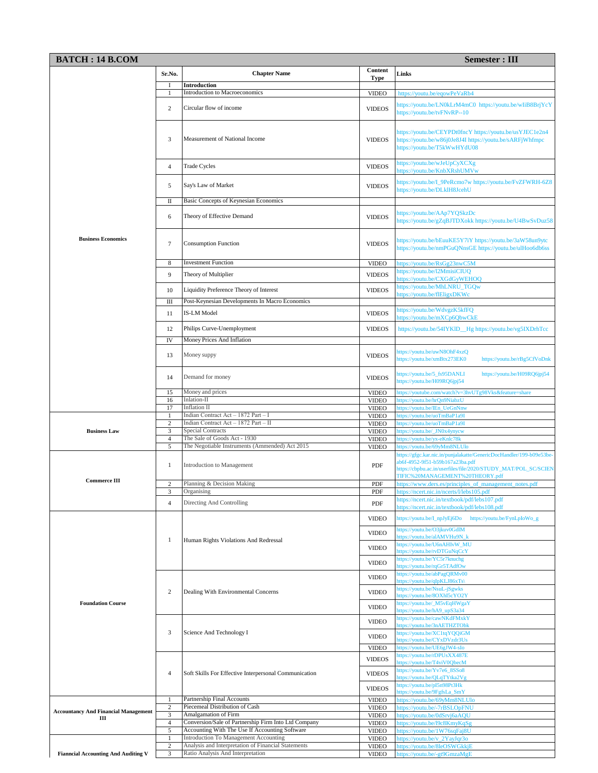| <b>BATCH: 14 B.COM</b><br>Semester : III         |                      |                                                                                         |                              |                                                                                                                                                                                                              |
|--------------------------------------------------|----------------------|-----------------------------------------------------------------------------------------|------------------------------|--------------------------------------------------------------------------------------------------------------------------------------------------------------------------------------------------------------|
|                                                  | Sr.No.               | <b>Chapter Name</b>                                                                     | Content                      | Links                                                                                                                                                                                                        |
|                                                  | П                    | <b>Introduction</b>                                                                     | Type                         |                                                                                                                                                                                                              |
|                                                  |                      | Introduction to Macroeconomics                                                          | <b>VIDEO</b>                 | https://youtu.be/eqowPeVaRb4                                                                                                                                                                                 |
|                                                  | 2                    | Circular flow of income                                                                 | <b>VIDEOS</b>                | https://youtu.be/LN0kLrM4mC0 https://youtu.be/wIiB8BrjYcY<br>https://youtu.be/tvFNvRP--10                                                                                                                    |
|                                                  | 3                    | Measurement of National Income                                                          | <b>VIDEOS</b>                | https://youtu.be/CEYPDt0fncY https://youtu.be/usYJEC1e2n4<br>https://youtu.be/w86j0Je8J4I https://youtu.be/sARFjWhfmpc<br>https://youtu.be/T5kWwHYdU08                                                       |
|                                                  | 4                    | <b>Trade Cycles</b>                                                                     | <b>VIDEOS</b>                | https://youtu.be/wJeUpCyXCXg<br>https://youtu.be/KnbXRshUMVw                                                                                                                                                 |
|                                                  | 5                    | Say's Law of Market                                                                     | <b>VIDEOS</b>                | https://youtu.be/I_9PeRcmo7w https://youtu.be/FvZFWRH-6Z8<br>https://youtu.be/DLklH8JcehU                                                                                                                    |
|                                                  | П                    | Basic Concepts of Keynesian Economics                                                   |                              |                                                                                                                                                                                                              |
| <b>Business Economics</b>                        | 6                    | Theory of Effective Demand                                                              | <b>VIDEOS</b>                | https://youtu.be/AAp7YQSkzDc<br>https://youtu.be/gZqBJTDXokk https://youtu.be/U4BwSvDuz58                                                                                                                    |
|                                                  | 7                    | <b>Consumption Function</b>                                                             | <b>VIDEOS</b>                | https://youtu.be/bEuuKE5Y7iY https://youtu.be/3aW58un9ytc<br>https://youtu.be/nmPGuQNnsGE https://youtu.be/ulHoo6db6ss                                                                                       |
|                                                  | 8                    | <b>Investment Function</b>                                                              | <b>VIDEO</b>                 | https://youtu.be/RsGg23nwC5M                                                                                                                                                                                 |
|                                                  | 9                    | Theory of Multiplier                                                                    | <b>VIDEOS</b>                | https://youtu.be/l2MmisiCIUQ<br>nttps://youtu.be/CXGdGyWEHOQ                                                                                                                                                 |
|                                                  | 10                   | Liquidity Preference Theory of Interest                                                 | <b>VIDEOS</b>                | https://youtu.be/MhLNRU TGOw                                                                                                                                                                                 |
|                                                  |                      | Post-Keynesian Developments In Macro Economics                                          |                              | nttps://youtu.be/flEligxDKWc                                                                                                                                                                                 |
|                                                  | Ш<br>11              | <b>IS-LM Model</b>                                                                      | <b>VIDEOS</b>                | https://youtu.be/WdvgzK5kfFQ<br>nttps://youtu.be/mXCp6QbwCkE                                                                                                                                                 |
|                                                  | 12                   | Philips Curve-Unemployment                                                              | <b>VIDEOS</b>                | https://youtu.be/54IYKlD_Hg https://youtu.be/vg5IXDrhTcc                                                                                                                                                     |
|                                                  | IV                   | Money Prices And Inflation                                                              |                              |                                                                                                                                                                                                              |
|                                                  | 13                   | Money suppy                                                                             | <b>VIDEOS</b>                | https://youtu.be/uwN8OhF4xzQ<br>nttps://youtu.be/xmBtx273EK0<br>https://youtu.be/rBg5CfVoDnk                                                                                                                 |
|                                                  | 14                   | Demand for money                                                                        | <b>VIDEOS</b>                | nttps://youtu.be/5_fs95DANLI<br>https://youtu.be/H09RQ6jpj54<br>https://youtu.be/H09RQ6jpj54                                                                                                                 |
|                                                  | 15<br>16             | Money and prices<br>Inlation-II                                                         | <b>VIDEO</b><br><b>VIDEO</b> | nttps://youtube.com/watch?v=3hvUTg98Vks&feature=share<br>https://youtu.be/hrQn9NiabzU                                                                                                                        |
|                                                  | 17                   | <b>Inflation II</b>                                                                     | <b>VIDEO</b>                 | nttps://youtu.be/IEn_UeGnNnw                                                                                                                                                                                 |
|                                                  | $\mathbf{1}$         | Indian Contract Act - 1872 Part - I                                                     | <b>VIDEO</b>                 | attps://youtu.be/uoTmBaP1a9I                                                                                                                                                                                 |
| <b>Business Law</b>                              | $\overline{c}$<br>3  | Indian Contract Act - 1872 Part - II<br><b>Special Contracts</b>                        | <b>VIDEO</b><br><b>VIDEO</b> | https://youtu.be/uoTmBaP1a9I<br>https://youtu.be/_JN0x4ynycw                                                                                                                                                 |
|                                                  | $\overline{4}$       | The Sale of Goods Act - 1930                                                            | <b>VIDEO</b>                 | https://youtu.be/yx-eKnlc78k                                                                                                                                                                                 |
|                                                  | 5                    | The Negotiable Instruments (Ammended) Act 2015                                          | <b>VIDEO</b>                 | https://youtu.be/69yMm8NLUlo                                                                                                                                                                                 |
|                                                  | 1                    | Introduction to Management                                                              | PDF                          | https://gfgc.kar.nic.in/punjalakatte/GenericDocHandler/199-b09e53be-<br>ab6f-4952-9f51-b59b167a23ba.pdf<br>https://cbpbu.ac.in/userfiles/file/2020/STUDY_MAT/POL_SC/SCIEN<br>TIFIC%20MANAGEMENT%20THEORY.pdf |
| <b>Commerce III</b>                              | $\overline{c}$       | Planning & Decision Making                                                              | PDF                          | https://www.ders.es/principles_of_management_notes.pdf                                                                                                                                                       |
|                                                  | 3                    | Organising                                                                              | PDF                          | https://ncert.nic.in/ncerts/l/lebs105.pdf<br>https://ncert.nic.in/textbook/pdf/lebs107.pdf                                                                                                                   |
|                                                  | 4                    | Directing And Controlling<br>Human Rights Violations And Redressal                      | PDF<br><b>VIDEO</b>          | https://ncert.nic.in/textbook/pdf/lebs108.pdf<br>https://youtu.be/I_npJyEj6Do https://youtu.be/FynLpIoWo_g                                                                                                   |
|                                                  | 1                    |                                                                                         | <b>VIDEO</b>                 | https://youtu.be/O3jkuv0GdlM<br>https://youtu.be/alAMVHu9N_l                                                                                                                                                 |
|                                                  |                      |                                                                                         | <b>VIDEO</b>                 | https://youtu.be/U6nAHIvW_MU<br>https://youtu.be/rvDTGuNqCcY                                                                                                                                                 |
|                                                  |                      |                                                                                         | <b>VIDEO</b>                 | https://youtu.be/YC5r7knuchg<br>ittps://youtu.be/rqGr5TAdfOw                                                                                                                                                 |
|                                                  |                      | Dealing With Environmental Concerns                                                     | <b>VIDEO</b>                 | https://youtu.be/abPagQRMv00<br>nttps://youtu.be/qIpKLJ86xTs\                                                                                                                                                |
|                                                  | 2                    |                                                                                         | <b>VIDEO</b>                 | https://youtu.be/NsuL-jSgwks<br>https://youtu.be/8OXhI5cYO2Y                                                                                                                                                 |
| <b>Foundation Course</b>                         |                      |                                                                                         | <b>VIDEO</b>                 | https://youtu.be/_M5vEqHWgaY<br>nttps://youtu.be/hA9_upS3a34                                                                                                                                                 |
|                                                  |                      |                                                                                         | <b>VIDEO</b>                 | https://youtu.be/cawNKdFMxkY<br>https://youtu.be/3nAETHZTObk                                                                                                                                                 |
|                                                  | 3                    | Science And Technology I                                                                | <b>VIDEO</b>                 | https://youtu.be/XC1tqYQQiGM<br>https://youtu.be/CYxDVzdr3Us                                                                                                                                                 |
|                                                  |                      |                                                                                         | <b>VIDEO</b>                 | https://youtu.be/UE6gJW4-sIo                                                                                                                                                                                 |
|                                                  | 4                    | Soft Skills For Effective Interpersonal Communication                                   | <b>VIDEOS</b>                | https://youtu.be/rDPUsXX487E<br>nttps://youtu.be/T4viV0QbecM<br>https://youtu.be/Yv7e6_8SSo8                                                                                                                 |
|                                                  |                      |                                                                                         | <b>VIDEOS</b>                | ittps://youtu.be/QLqTYtka2Vg<br>https://youtu.be/pI5n98Pt3Hk                                                                                                                                                 |
|                                                  |                      |                                                                                         | <b>VIDEOS</b>                | https://youtu.be/9FgfsLa_SmY                                                                                                                                                                                 |
|                                                  | -1<br>$\overline{c}$ | Partnership Final Accounts<br>Piecemeal Distribution of Cash                            | <b>VIDEO</b><br><b>VIDEO</b> | https://youtu.be/69yMm8NLUlo<br>https://youtu.be/-7rBSLOpFNU                                                                                                                                                 |
| <b>Accountancy And Financial Management</b><br>Ш | 3                    | Amalgamation of Firm                                                                    | <b>VIDEO</b>                 | nttps://youtu.be/0dSrvj6aAQU                                                                                                                                                                                 |
|                                                  | $\overline{4}$       | Conversion/Sale of Partnership Firm Into Ltd Company                                    | <b>VIDEO</b>                 | https://youtu.be/19c8KmyKqSg                                                                                                                                                                                 |
|                                                  | 5<br>$\mathbf{1}$    | Accounting With The Use If Accounting Software<br>Introduction To Management Accounting | <b>VIDEO</b>                 | https://youtu.be/1W76sqFaj8U                                                                                                                                                                                 |
|                                                  | 2                    | Analysis and Interpretation of Financial Statements                                     | <b>VIDEO</b><br><b>VIDEO</b> | https://youtu.be/v_2YayJqr3o<br>https://youtu.be/8leOSWGkkjE                                                                                                                                                 |
| <b>Fianncial Accounting And Auditing V</b>       | 3                    | Ratio Analysis And Interpretation                                                       | <b>VIDEO</b>                 | nttps://youtu.be/-gt9GmzaMgE                                                                                                                                                                                 |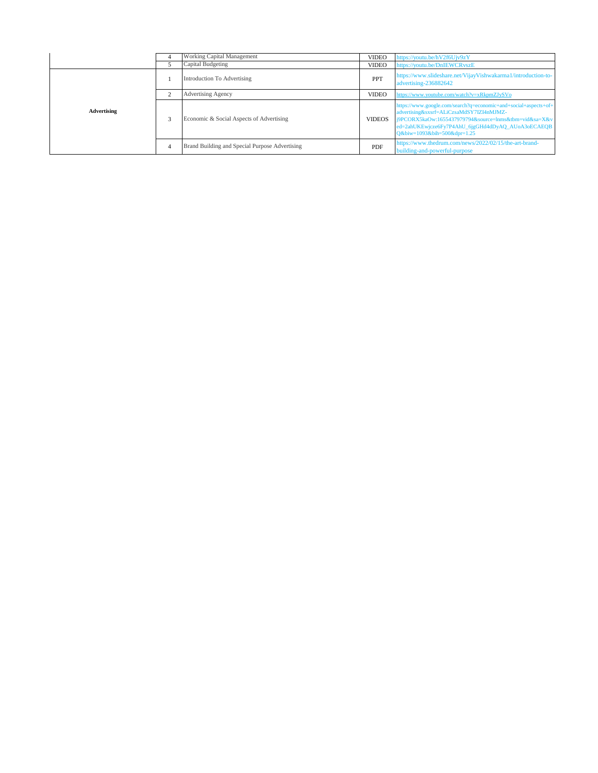|             | Working Capital Management                     | <b>VIDEO</b>  | https://youtu.be/hV2f6Ujv9zY                                                                                                                                                                                                                             |
|-------------|------------------------------------------------|---------------|----------------------------------------------------------------------------------------------------------------------------------------------------------------------------------------------------------------------------------------------------------|
|             | Capital Budgeting                              | <b>VIDEO</b>  | https://youtu.be/DnIEWCRvszE                                                                                                                                                                                                                             |
| Advertising | Introduction To Advertising                    | PPT           | https://www.slideshare.net/VijayVishwakarma1/introduction-to-<br>advertising-236882642                                                                                                                                                                   |
|             | <b>Advertising Agency</b>                      | <b>VIDEO</b>  | https://www.youtube.com/watch?v=xRkpmZJySVo                                                                                                                                                                                                              |
|             | Economic & Social Aspects of Advertising       | <b>VIDEOS</b> | https://www.google.com/search?q=economic+and+social+aspects+of+<br>advertising&sxsrf=ALiCzsaMdSY7IZI4nMJMZ-<br>j9PCORX5kaOw:1655437979794&source=lnms&tbm=vid&sa=X&v<br>ed=2ahUKEwjcze6Fy7P4AhU_6jgGHd4dDyAQ_AUoA3oECAEQB<br>Q&biw=1093&bih=500&dpr=1.25 |
|             | Brand Building and Special Purpose Advertising | PDF           | https://www.thedrum.com/news/2022/02/15/the-art-brand-<br>building-and-powerful-purpose                                                                                                                                                                  |